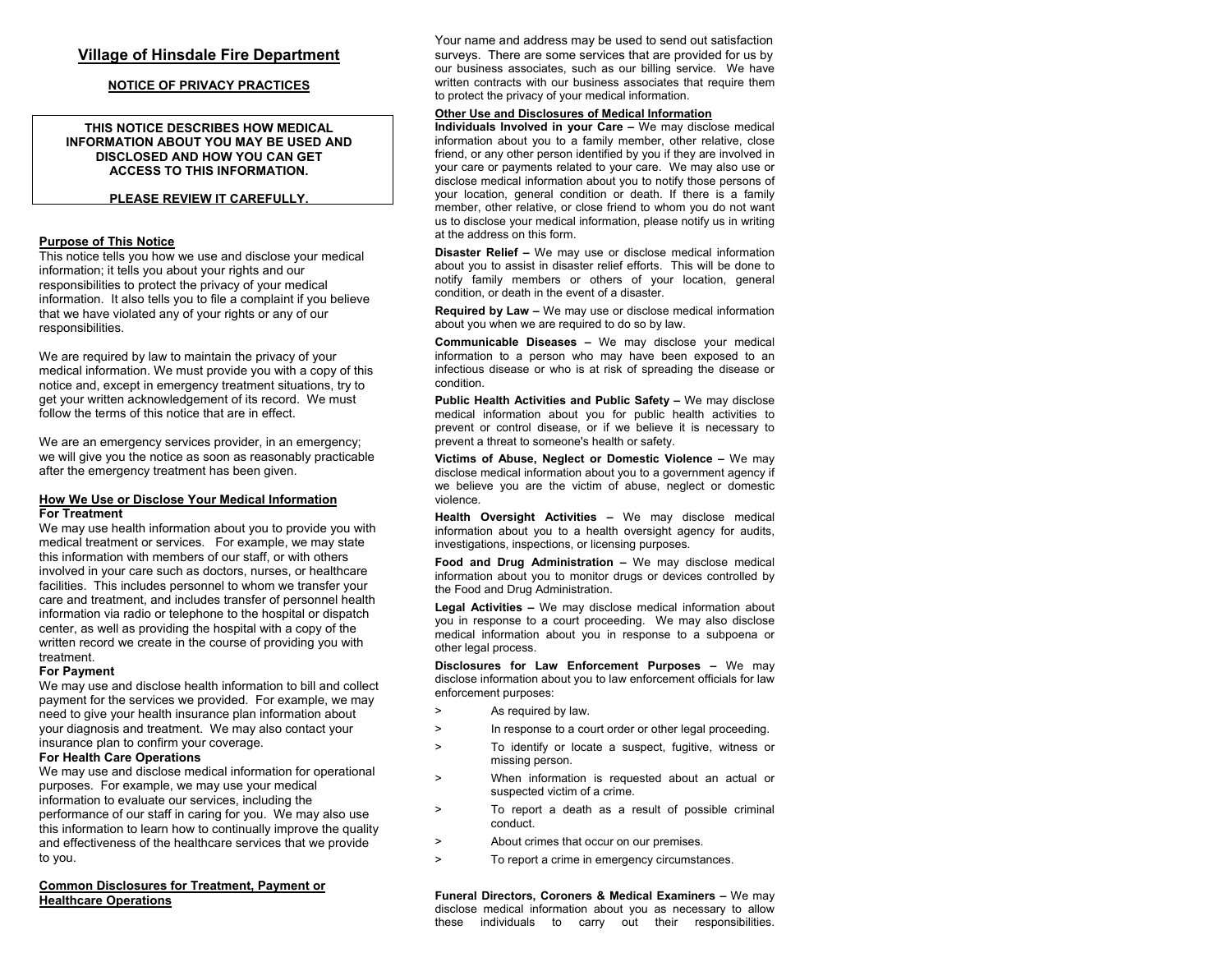# **Village of Hinsdale Fire Department**

# **NOTICE OF PRI V ACY P RACTICES**

### **THIS NOTICE DESCRIBES HOW MEDICALINFORMATION ABOUT YOU MAY BE USED AND DISCLOSED AND HOW YOU CAN GET ACCESS TO THIS INFORMATION.**

## **PLEASE REVIEW IT CAREFULLY.**

# **Purpose of This Notice**

This notice tells you how we use and disclose your medical information; it tells you about your rights and our responsibilities to protect the privacy of your medical information. It also tells you to file a complaint if you believe that we have violated any of your rights or any of our responsibilities.

We are required by la w to maintain the privacy of your medical information. We must provide you with a copy of this notice and, except in emergency treatment situations, try to get your written acknowledgement of its record. We must follow the terms of this notice that are in effect.

We are an emergency services provider, in an emergency; we will give you the notice as soon as reasonably practicable after the emergency treatment has been given.

### **Ho w We Use or Disclose Your Medical Infor mation For Treatment**

We may use health information about you to provide you with medical treatment or services. For example, we may state this information with members of our staff, or with others involved in your care such as doctors, nurses, or healthcare facilities. This includes personnel to whom we transfer your care and treatment, and includes transfer of personnel health information via radio or telephone to the hospital or dispatch center, as well as providing the hospital with a copy of the written record we create in the course of providing you with treatment.

### **For Payment**

We may use and disclose health information to bill and collect payment for the services we provided. For example, we may need to give your health insurance plan information about your diagnosis and treatment. We may also contact your insurance plan to confirm your coverage.

# **For Health Care Operations**

We may use and disclose medical information for operational purposes. For example, we may use your medical information to evaluate our services, including the performance of our staff in caring for you. We may also use this information to learn ho w to continually improve the quality and effectiveness of the healthcare services that we provide to you.

# **Common Disclosures for Treatment, Payment or Healthcare Operations**

Your name and address may be used to send out satisfaction surveys. There are some services that are provided for us by our business associates, such as our billing service. We have written contracts with our business associates that require them to protect the privacy of your medical information.

# **Other Use and Disclosures of Medical Information**

 **Individuals Involved in your Care –** We may disclose medical information about you to a family member, other relative, close friend, or any other person identified by you if they are involved in your care or payments related to your care. We may also use or disclose medical information about you to notify those persons of your location, general condition or death. If there is a family member, other relative, or close friend to whom you do not want us to disclose your medical information, please notify us in writing at the address on this form.

**Disaster Relief –** We may use or disclose medical information about you to assist in disaster relief efforts. This will be done to notify family members or others of your location, general condition, or death in the event of a disaster.

**Required by Law –** We may use or disclose medical information about you when we are required to do so by law.

**Communicable Diseases –** We may disclose your medical information to a person who may have been exposed to an infectious disease or who is at risk of spreading the disease or condition.

**Public Health Activities and Public Safety –**  We may disclose medical information about you for public health activities to prevent or control disease, or if we believe it is necessary to prevent a threat to someone's health or safety.

**Victims of Abuse, Neglect or Domestic Violence –** We may disclose medical information about you to a government agency if we believe you are the victim of abuse, neglect or domestic violence.

**Health Oversight Activities –** We may disclose medical information about you to a health oversight agency for audits, investigations, inspections, or licensing purposes.

**Food and Drug Administration –** We may disclose medical information about you to monitor drugs or devices controlled by the Food and Drug Administration.

**Legal Activities –** We may disclose medical information about you in response to a court proceeding. We may also disclose medical information about you in response to <sup>a</sup> subpoena or other legal process.

**Disclosures for Law Enforcement Purposes –** We may disclose information about you to law enforcement officials for law enforcement purposes:

- > As required by law.
- > In response to a court order or other legal proceeding.
- > To identify or locate a suspect, fugitive, witness or missing person.
- > When information is requested about an actual or suspected victim of a crime.
- > To report a death as a result of possible criminal conduct.
- > About crimes that occur on our premises.
- > To report a crime in e mergency circumstances.

**Funeral Directors, Coroners & Medical Examiners –** We may disclose medical information about you as necessary to allow these individuals to carry out their responsibilities.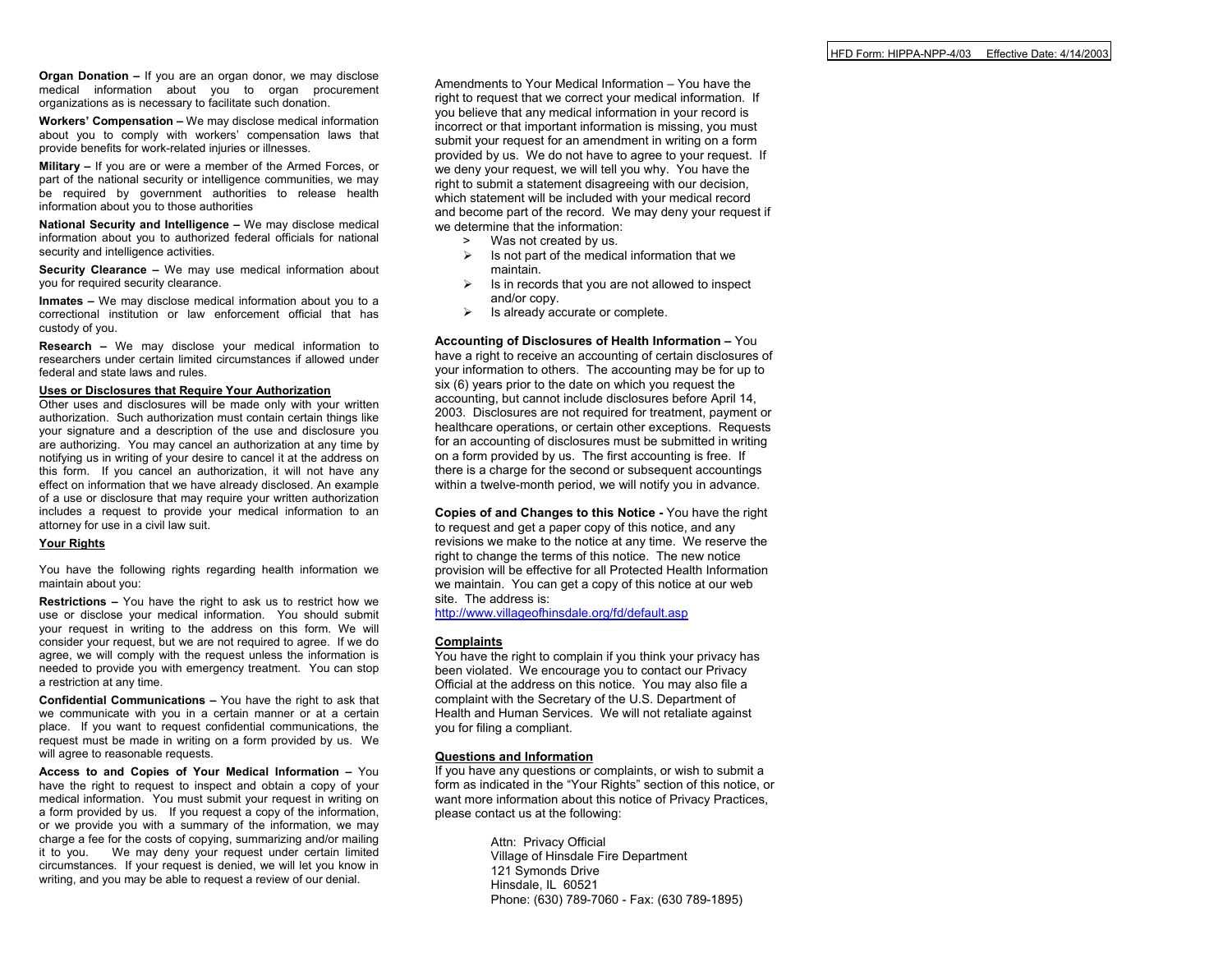**Organ Donation –** If you are an organ donor, we may disclose medical information about you to organ procurement organizations as is necessary to facilitate such donation.

**Workers' Compensation –** We may disclose medical information about you to comply with workers' compensation laws that provide benefits for work-related injuries or illnesses.

**Military –** If you are or were a member of the Armed Forces, or part of the national security or intelligence communities, we may be required by government authorities to release health information about you to those authorities

**National Security and Intelligence –**  We may disclose medical information about you to authorized federal officials for national security and intelligence activities.

**Security Clearance –** We may use medical information about you for required security clearance.

**Inmates –** We may disclose medical information about you to <sup>a</sup> correctional institution or law enforcement official that has custody of you.

**Research –**  We may disclose your medical information to researchers under certain limited circumstances if allowed underfederal and state laws and rules.

#### **Uses or Disclosures that Require Your Authorization**

Other uses and disclosures will be made only with your written authorization. Such authorization must contain certain things like your signature and a description of the use and disclosure you are authorizing. You may cancel an authorization at any time by notifying us in writing of your desire to cancel it at the address on this form. If you cancel an authorization, it will not have any effect on information that we have already disclosed. An example of a use or disclosure that may require your written authorization includes a request to provide your medical information to an attorney for use in a civil law suit.

#### **Your Rights**

You have the following rights regarding health information we maintain about you:

**Restrictions –**  You have the right to ask us to restrict how we use or disclose your medical infor mation. You should submityour request in writing to the address on this for m. We will consider your request, but we are not required to agree. If we do agree, we will comply with the request unless the information is needed to provide you with emergency treatment. You can stop a restriction at any time.

**Confidential Communications –** You have the right to ask that we communicate with you in a certain manner or at a certain place. If you want to request confidential communications, the request must be made in writing on a form provided by us. We will agree to reasonable requests.

**Access to and Copies of Your Medical Information –**  You have the right to request to inspect and obtain a copy of your medical information. You must submit your request in writing on a form provided by us. If you request a copy of the information, or we provide you with a summary of the information, we may charge a fee for the costs of copying, summarizing and/or mailing it to you. We may deny your request under certain limited circumstances. If your request is denied, we will let you know in writing, and you may be able to request a review of our denial.

Amendments to Your Medical Information – You have the right to request that we correct your medical information. If you believe that any medical infor mation in your record is incorrect or that important information is missing, you must submit your request for an amendment in writing on a form provided by us. We do not have to agree to your request. If we deny your request, we will tell you why. You have the right to submit a statement disagreeing with our decision, which statement will be included with your medical record and become part of the record. We may deny your request if we determine that the information:

- > Was not created by us.
- $\triangleright$  Is not part of the medical information that we maintain.
- $\triangleright$  Is in records that you are not allowed to inspect and/or copy.
- $\triangleright$  Is already accurate or complete.

**Accounting of Disclosures of Health Information –** You have a right to receive an accounting of certain disclosures of your information to others. The accounting may be for up to six (6) years prior to the date on which you request the accounting, but cannot include disclosures before April 14, 2003. Disclosures are not required for treatment, payment or healthcare operations, or certain other exceptions. Requests for an accounting of disclosures must be submitted in writing on a form provided by us. The first accounting is free. If there is a charge for the second or subsequent accountings within a twelve-month period, we will notify you in advance.

**Copies of and Changes to this Notice -**  You have the right to request and get a paper copy of this notice, and any revisions we make to the notice at any time. We reserve the right to change the terms of this notice. The ne w notice provision will be effective for all Protected Health Infor mation we maintain. You can get a copy of this notice at our web site. The address is:

<http://www.villageofhinsdale.org/fd/default.asp>

### **Complaints**

You have the right to complain if you think your privacy has been violated. We encourage you to contact our Privacy Official at the address on this notice. You may also file a complaint with the Secretary of the U.S. Department of Health and Human Services. We will not retaliate against you for filing a compliant.

### **Questions and Infor mation**

If you have any questions or complaints, or wish to submit a form as indicated in the "Your Rights" section of this notice, or want more information about this notice of Privacy Practices, please contact us at the following:

> Attn: Privacy Official Village of Hinsdale Fire Department 121 Symonds Drive Hinsdale, IL 60521 Phone: (630) 789-7060 - Fax: (630 789-1895)